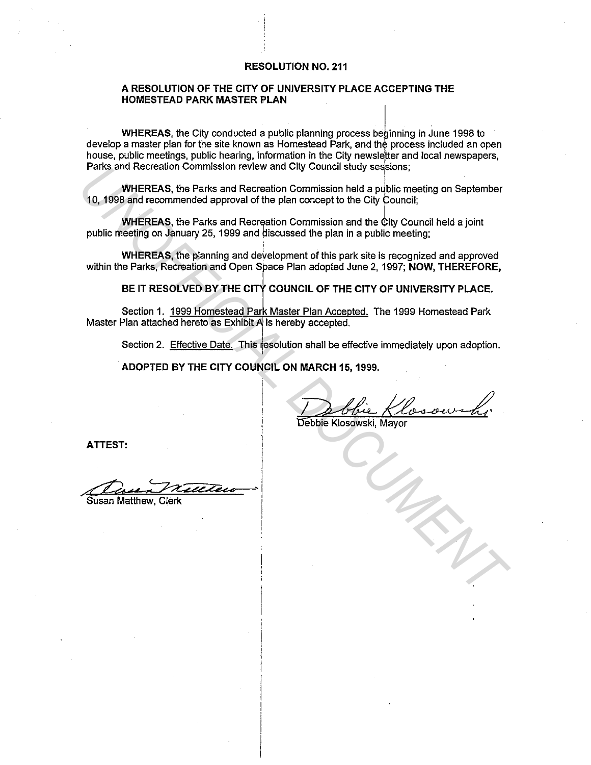## **RESOLUTION NO. 211**

## **A RESOLUTION OF THE CITY OF UNIVERSITY PLACE ACCEPTING THE HOMESTEAD PARK MASTER PLAN**

ابانية **WHEREAS, t**he City conducted a public planning process beginning in June 1998 to develop a master plan for the site known as Homestead Park, and the process included an open house, public meetings, public hearing, information in the City newsle er and local newspapers, Parks and Recreation Commission review and City Council study sessions;

**WHEREAS, the Parks and Recreation Commission held a public meeting on September** 10, 1998 and recommended approval of the plan concept to the City Council;

**WHEREAS, the Parks and Recreation Commission and the City Council held a joint** public meeting on January 25, 1999 and discussed the plan in a public meeting;

I

**WHEREAS, the planning and development of this park site is recognized and approved** within the Parks, Recreation and Open Space Plan adopted June 2, 1997; **NOW, THEREFORE,** Parks and recreation Commission review and City Council study sessions;<br>
10, 1998 and recommended approval of the plan concept to the City Council;<br>
WHEREAS, the Parks and Recreation Commission and the City Council held a

BE IT RESOLVED BY THE CITY COUNCIL OF THE CITY OF UNIVERSITY PLACE.

Section 1. 1999 Homestead Park Master Plan Accepted. The 1999 Homestead Park Master Plan attached hereto as Exhibit A is hereby accepted.

Section 2. Effective Date. This 1esolution shall be effective immediately upon adoption.

**ADOPTED BY THE CITY COUNCIL ON MARCH 15, 1999.** 

**ATTEST:** 

-~·' .~ *... a4ee* 

Susan Matthew, Clerk